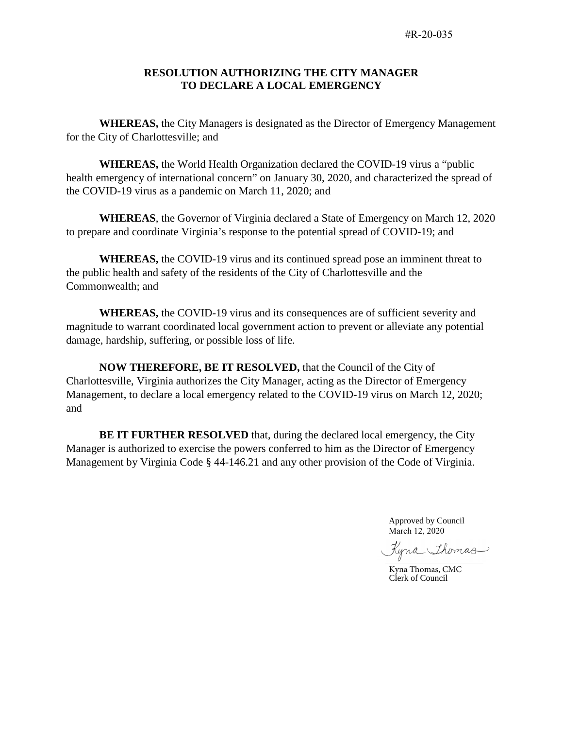## **RESOLUTION AUTHORIZING THE CITY MANAGER TO DECLARE A LOCAL EMERGENCY**

**WHEREAS,** the City Managers is designated as the Director of Emergency Management for the City of Charlottesville; and

**WHEREAS,** the World Health Organization declared the COVID-19 virus a "public health emergency of international concern" on January 30, 2020, and characterized the spread of the COVID-19 virus as a pandemic on March 11, 2020; and

**WHEREAS**, the Governor of Virginia declared a State of Emergency on March 12, 2020 to prepare and coordinate Virginia's response to the potential spread of COVID-19; and

**WHEREAS,** the COVID-19 virus and its continued spread pose an imminent threat to the public health and safety of the residents of the City of Charlottesville and the Commonwealth; and

**WHEREAS,** the COVID-19 virus and its consequences are of sufficient severity and magnitude to warrant coordinated local government action to prevent or alleviate any potential damage, hardship, suffering, or possible loss of life.

**NOW THEREFORE, BE IT RESOLVED,** that the Council of the City of Charlottesville, Virginia authorizes the City Manager, acting as the Director of Emergency Management, to declare a local emergency related to the COVID-19 virus on March 12, 2020; and

**BE IT FURTHER RESOLVED** that, during the declared local emergency, the City Manager is authorized to exercise the powers conferred to him as the Director of Emergency Management by Virginia Code § 44-146.21 and any other provision of the Code of Virginia.

> Approved by Council March 12, 2020

Kyna Thomas

Kyna Thomas, CMC Clerk of Council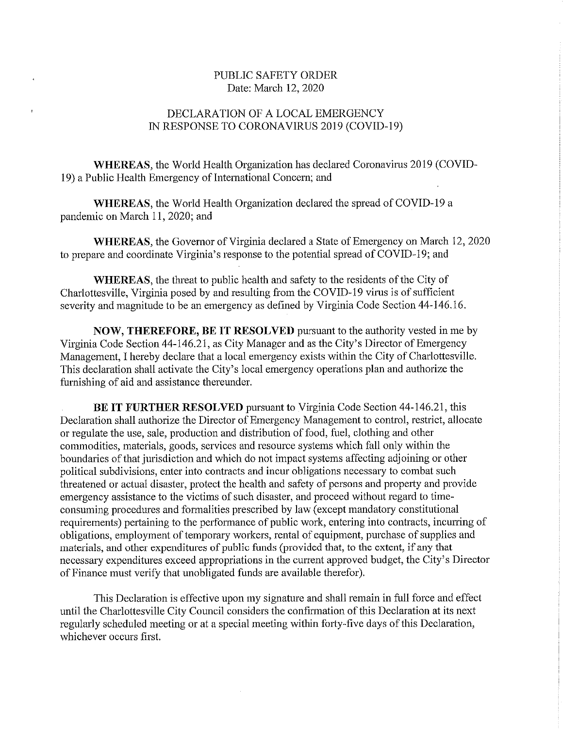## PUBLIC SAFETY ORDER Date: March 12, 2020

## DECLARATION OF A LOCAL EMERGENCY IN RESPONSE TO CORONAVIRUS 2019 (COVID-19)

WHEREAS, the World Health Organization has declared Coronavirus 2019 (COVID-19) a Public Health Emergency of International Concern; and

**WHEREAS**, the World Health Organization declared the spread of COVID-19 a pandemic on March 11, 2020; and

WHEREAS, the Governor of Virginia declared a State of Emergency on March 12, 2020 to prepare and coordinate Virginia's response to the potential spread of COVID-19; and

WHEREAS, the threat to public health and safety to the residents of the City of Charlottesville, Virginia posed by and resulting from the COVID-19 virus is of sufficient severity and magnitude to be an emergency as defined by Virginia Code Section 44-146.16.

NOW, THEREFORE, BE IT RESOLVED pursuant to the authority vested in me by Virginia Code Section 44-146.21, as City Manager and as the City's Director of Emergency Management, I hereby declare that a local emergency exists within the City of Charlottesville. This declaration shall activate the City's local emergency operations plan and authorize the furnishing of aid and assistance thereunder.

BE IT FURTHER RESOLVED pursuant to Virginia Code Section 44-146.21, this Declaration shall authorize the Director of Emergency Management to control, restrict, allocate or regulate the use, sale, production and distribution of food, fuel, clothing and other commodities, materials, goods, services and resource systems which fall only within the boundaries of that jurisdiction and which do not impact systems affecting adjoining or other political subdivisions, enter into contracts and incur obligations necessary to combat such threatened or actual disaster, protect the health and safety of persons and property and provide emergency assistance to the victims of such disaster, and proceed without regard to timeconsuming procedures and formalities prescribed by law (except mandatory constitutional requirements) pertaining to the performance of public work, entering into contracts, incurring of obligations, employment of temporary workers, rental of equipment, purchase of supplies and materials, and other expenditures of public funds (provided that, to the extent, if any that necessary expenditures exceed appropriations in the current approved budget, the City's Director of Finance must verify that unobligated funds are available therefor).

This Declaration is effective upon my signature and shall remain in full force and effect until the Charlottesville City Council considers the confirmation of this Declaration at its next regularly scheduled meeting or at a special meeting within forty-five days of this Declaration, whichever occurs first.